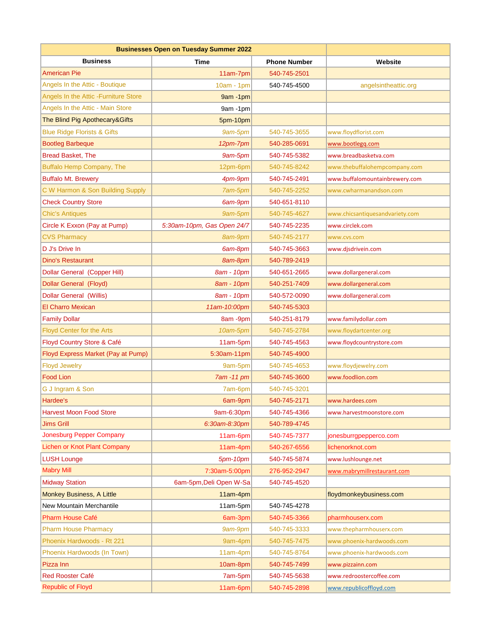| <b>Businesses Open on Tuesday Summer 2022</b> |                            |                     |                                 |
|-----------------------------------------------|----------------------------|---------------------|---------------------------------|
| <b>Business</b>                               | Time                       | <b>Phone Number</b> | Website                         |
| American Pie                                  | 11am-7pm                   | 540-745-2501        |                                 |
| Angels In the Attic - Boutique                | $10am - 1pm$               | 540-745-4500        | angelsintheattic.org            |
| Angels In the Attic - Furniture Store         | 9am -1pm                   |                     |                                 |
| Angels In the Attic - Main Store              | 9am -1pm                   |                     |                                 |
| The Blind Pig Apothecary& Gifts               | 5pm-10pm                   |                     |                                 |
| <b>Blue Ridge Florists &amp; Gifts</b>        | 9am-5pm                    | 540-745-3655        | www.floydflorist.com            |
| <b>Bootleg Barbeque</b>                       | 12pm-7pm                   | 540-285-0691        | www.bootlegg.com                |
| <b>Bread Basket, The</b>                      | 9am-5pm                    | 540-745-5382        | www.breadbasketva.com           |
| Buffalo Hemp Company, The                     | 12pm-6pm                   | 540-745-8242        | www.thebuffalohempcompany.com   |
| <b>Buffalo Mt. Brewery</b>                    | 4pm-9pm                    | 540-745-2491        | www.buffalomountainbrewery.com  |
| C W Harmon & Son Building Supply              | 7am-5pm                    | 540-745-2252        | www.cwharmanandson.com          |
| <b>Check Country Store</b>                    | 6am-9pm                    | 540-651-8110        |                                 |
| <b>Chic's Antiques</b>                        | 9am-5pm                    | 540-745-4627        | www.chicsantiquesandvariety.com |
| Circle K Exxon (Pay at Pump)                  | 5:30am-10pm, Gas Open 24/7 | 540-745-2235        | www.circlek.com                 |
| <b>CVS Pharmacy</b>                           | 8am-9pm                    | 540-745-2177        | www.cvs.com                     |
| D J's Drive In                                | 6am-8pm                    | 540-745-3663        | www.disdrivein.com              |
| Dino's Restaurant                             | 8am-8pm                    | 540-789-2419        |                                 |
| <b>Dollar General (Copper Hill)</b>           | 8am - 10pm                 | 540-651-2665        | www.dollargeneral.com           |
| Dollar General (Floyd)                        | 8am - 10pm                 | 540-251-7409        | www.dollargeneral.com           |
| <b>Dollar General (Willis)</b>                | 8am - 10pm                 | 540-572-0090        | www.dollargeneral.com           |
| <b>El Charro Mexican</b>                      | 11am-10:00pm               | 540-745-5303        |                                 |
| <b>Family Dollar</b>                          | 8am -9pm                   | 540-251-8179        | www.familydollar.com            |
| <b>Floyd Center for the Arts</b>              | 10am-5pm                   | 540-745-2784        | www.floydartcenter.org          |
| Floyd Country Store & Café                    | 11am-5pm                   | 540-745-4563        | www.floydcountrystore.com       |
| Floyd Express Market (Pay at Pump)            | 5:30am-11pm                | 540-745-4900        |                                 |
| <b>Floyd Jewelry</b>                          | 9am-5pm                    | 540-745-4653        | www.floydjewelry.com            |
| <b>Food Lion</b>                              | 7am -11 pm                 | 540-745-3600        | www.foodlion.com                |
| G J Ingram & Son                              | 7am-6pm                    | 540-745-3201        |                                 |
| Hardee's                                      | 6am-9pm                    | 540-745-2171        | www.hardees.com                 |
| <b>Harvest Moon Food Store</b>                | 9am-6:30pm                 | 540-745-4366        | www.harvestmoonstore.com        |
| <b>Jims Grill</b>                             | 6:30am-8:30pm              | 540-789-4745        |                                 |
| Jonesburg Pepper Company                      | 11am-6pm                   | 540-745-7377        | jonesburrgpepperco.com          |
| Lichen or Knot Plant Company                  | 11am-4pm                   | 540-267-6556        | lichenorknot.com                |
| <b>LUSH Lounge</b>                            | 5pm-10pm                   | 540-745-5874        | www.lushlounge.net              |
| <b>Mabry Mill</b>                             | 7:30am-5:00pm              | 276-952-2947        | www.mabrymillrestaurant.com     |
| <b>Midway Station</b>                         | 6am-5pm, Deli Open W-Sa    | 540-745-4520        |                                 |
| <b>Monkey Business, A Little</b>              | 11am-4pm                   |                     | floydmonkeybusiness.com         |
| New Mountain Merchantile                      | 11am-5pm                   | 540-745-4278        |                                 |
| <b>Pharm House Café</b>                       | 6am-3pm                    | 540-745-3366        | pharmhouserx.com                |
| <b>Pharm House Pharmacy</b>                   | 9am-9pm                    | 540-745-3333        | www.thepharmhouserx.com         |
| Phoenix Hardwoods - Rt 221                    | 9am-4pm                    | 540-745-7475        | www.phoenix-hardwoods.com       |
| Phoenix Hardwoods (In Town)                   | 11am-4pm                   | 540-745-8764        | www.phoenix-hardwoods.com       |
| Pizza Inn                                     | 10am-8pm                   | 540-745-7499        | www.pizzainn.com                |
| Red Rooster Café                              | 7am-5pm                    | 540-745-5638        | www.redroostercoffee.com        |
| <b>Republic of Floyd</b>                      | 11am-6pm                   | 540-745-2898        | www.republicoffloyd.com         |